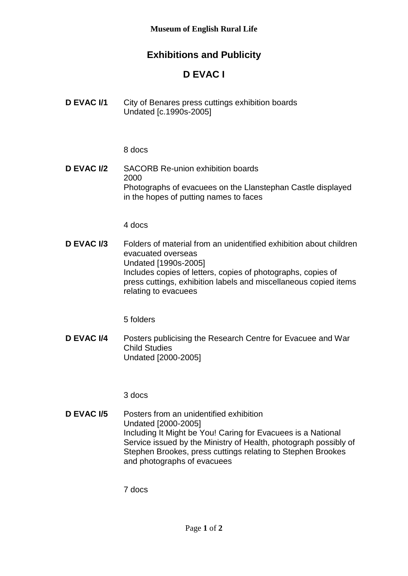## **Exhibitions and Publicity**

## **D EVAC I**

**D EVAC I/1** City of Benares press cuttings exhibition boards Undated [c.1990s-2005]

8 docs

**D EVAC I/2** SACORB Re-union exhibition boards 2000 Photographs of evacuees on the Llanstephan Castle displayed in the hopes of putting names to faces

4 docs

**D EVAC I/3** Folders of material from an unidentified exhibition about children evacuated overseas Undated [1990s-2005] Includes copies of letters, copies of photographs, copies of press cuttings, exhibition labels and miscellaneous copied items relating to evacuees

5 folders

**D EVAC I/4** Posters publicising the Research Centre for Evacuee and War Child Studies Undated [2000-2005]

3 docs

**D EVAC I/5** Posters from an unidentified exhibition Undated [2000-2005] Including It Might be You! Caring for Evacuees is a National Service issued by the Ministry of Health, photograph possibly of Stephen Brookes, press cuttings relating to Stephen Brookes and photographs of evacuees

7 docs